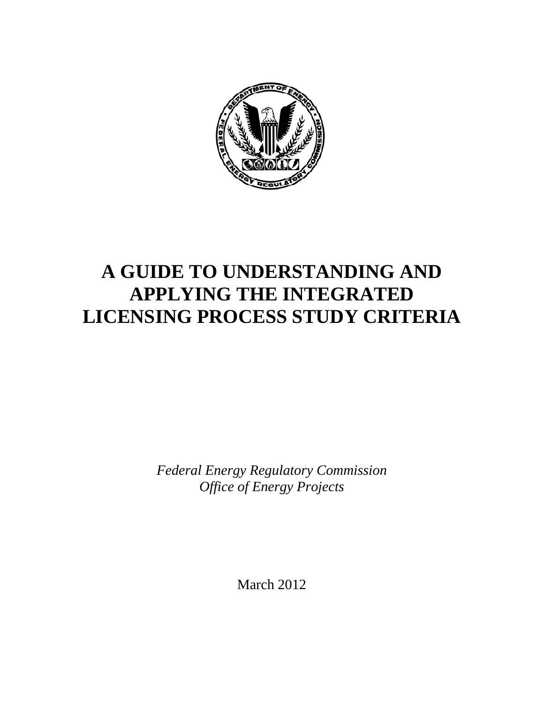

# **A GUIDE TO UNDERSTANDING AND APPLYING THE INTEGRATED LICENSING PROCESS STUDY CRITERIA**

*Federal Energy Regulatory Commission Office of Energy Projects* 

March 2012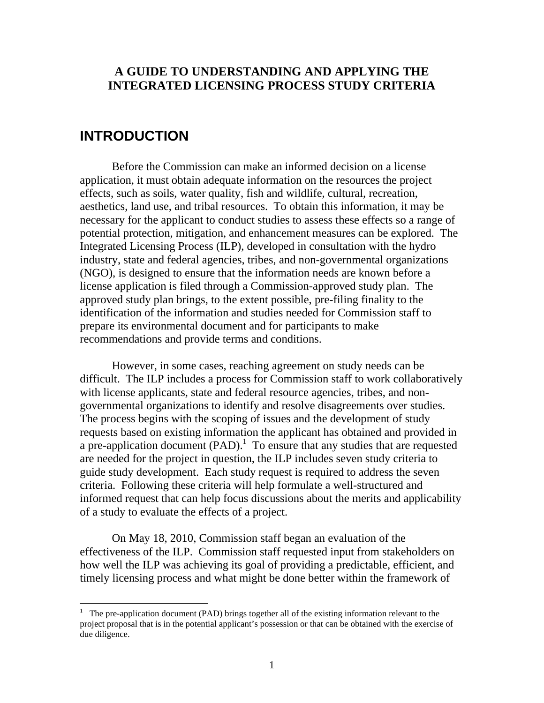# **A GUIDE TO UNDERSTANDING AND APPLYING THE INTEGRATED LICENSING PROCESS STUDY CRITERIA**

# **INTRODUCTION**

 $\overline{a}$ 

 Before the Commission can make an informed decision on a license application, it must obtain adequate information on the resources the project effects, such as soils, water quality, fish and wildlife, cultural, recreation, aesthetics, land use, and tribal resources. To obtain this information, it may be necessary for the applicant to conduct studies to assess these effects so a range of potential protection, mitigation, and enhancement measures can be explored. The Integrated Licensing Process (ILP), developed in consultation with the hydro industry, state and federal agencies, tribes, and non-governmental organizations (NGO), is designed to ensure that the information needs are known before a license application is filed through a Commission-approved study plan. The approved study plan brings, to the extent possible, pre-filing finality to the identification of the information and studies needed for Commission staff to prepare its environmental document and for participants to make recommendations and provide terms and conditions.

 However, in some cases, reaching agreement on study needs can be difficult. The ILP includes a process for Commission staff to work collaboratively with license applicants, state and federal resource agencies, tribes, and nongovernmental organizations to identify and resolve disagreements over studies. The process begins with the scoping of issues and the development of study requests based on existing information the applicant has obtained and provided in a pre-application document  $(PAD)$ .<sup>1</sup> To ensure that any studies that are requested are needed for the project in question, the ILP includes seven study criteria to guide study development. Each study request is required to address the seven criteria. Following these criteria will help formulate a well-structured and informed request that can help focus discussions about the merits and applicability of a study to evaluate the effects of a project.

 On May 18, 2010, Commission staff began an evaluation of the effectiveness of the ILP. Commission staff requested input from stakeholders on how well the ILP was achieving its goal of providing a predictable, efficient, and timely licensing process and what might be done better within the framework of

<sup>&</sup>lt;sup>1</sup> The pre-application document (PAD) brings together all of the existing information relevant to the project proposal that is in the potential applicant's possession or that can be obtained with the exercise of due diligence.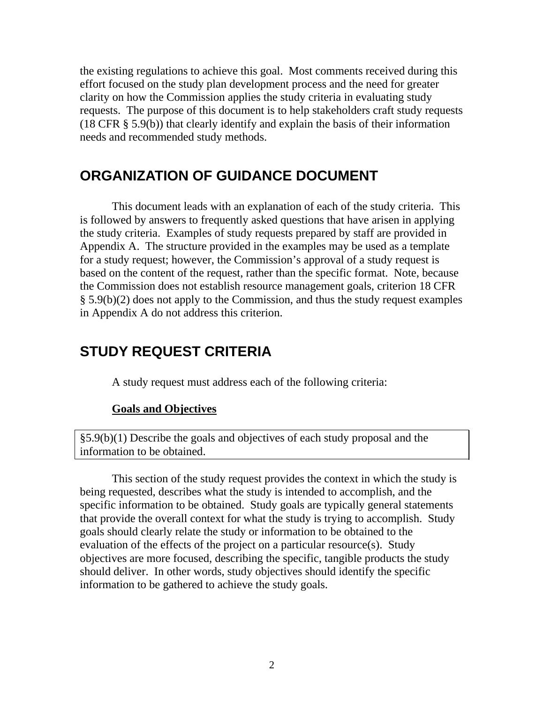the existing regulations to achieve this goal. Most comments received during this effort focused on the study plan development process and the need for greater clarity on how the Commission applies the study criteria in evaluating study requests. The purpose of this document is to help stakeholders craft study requests (18 CFR § 5.9(b)) that clearly identify and explain the basis of their information needs and recommended study methods.

# **ORGANIZATION OF GUIDANCE DOCUMENT**

 This document leads with an explanation of each of the study criteria. This is followed by answers to frequently asked questions that have arisen in applying the study criteria. Examples of study requests prepared by staff are provided in Appendix A. The structure provided in the examples may be used as a template for a study request; however, the Commission's approval of a study request is based on the content of the request, rather than the specific format. Note, because the Commission does not establish resource management goals, criterion 18 CFR § 5.9(b)(2) does not apply to the Commission, and thus the study request examples in Appendix A do not address this criterion.

# **STUDY REQUEST CRITERIA**

A study request must address each of the following criteria:

#### **Goals and Objectives**

§5.9(b)(1) Describe the goals and objectives of each study proposal and the information to be obtained.

 This section of the study request provides the context in which the study is being requested, describes what the study is intended to accomplish, and the specific information to be obtained. Study goals are typically general statements that provide the overall context for what the study is trying to accomplish. Study goals should clearly relate the study or information to be obtained to the evaluation of the effects of the project on a particular resource(s). Study objectives are more focused, describing the specific, tangible products the study should deliver. In other words, study objectives should identify the specific information to be gathered to achieve the study goals.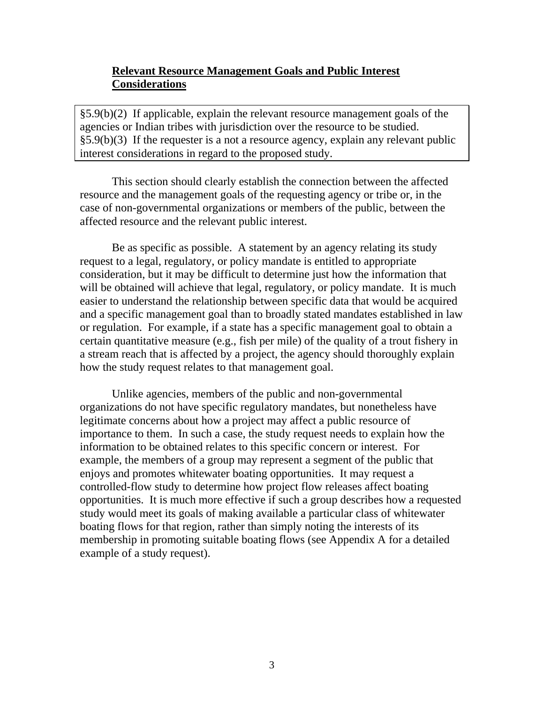# **Relevant Resource Management Goals and Public Interest Considerations**

§5.9(b)(2) If applicable, explain the relevant resource management goals of the agencies or Indian tribes with jurisdiction over the resource to be studied. §5.9(b)(3) If the requester is a not a resource agency, explain any relevant public interest considerations in regard to the proposed study.

 This section should clearly establish the connection between the affected resource and the management goals of the requesting agency or tribe or, in the case of non-governmental organizations or members of the public, between the affected resource and the relevant public interest.

 Be as specific as possible. A statement by an agency relating its study request to a legal, regulatory, or policy mandate is entitled to appropriate consideration, but it may be difficult to determine just how the information that will be obtained will achieve that legal, regulatory, or policy mandate. It is much easier to understand the relationship between specific data that would be acquired and a specific management goal than to broadly stated mandates established in law or regulation. For example, if a state has a specific management goal to obtain a certain quantitative measure (e.g., fish per mile) of the quality of a trout fishery in a stream reach that is affected by a project, the agency should thoroughly explain how the study request relates to that management goal.

 Unlike agencies, members of the public and non-governmental organizations do not have specific regulatory mandates, but nonetheless have legitimate concerns about how a project may affect a public resource of importance to them. In such a case, the study request needs to explain how the information to be obtained relates to this specific concern or interest. For example, the members of a group may represent a segment of the public that enjoys and promotes whitewater boating opportunities. It may request a controlled-flow study to determine how project flow releases affect boating opportunities. It is much more effective if such a group describes how a requested study would meet its goals of making available a particular class of whitewater boating flows for that region, rather than simply noting the interests of its membership in promoting suitable boating flows (see Appendix A for a detailed example of a study request).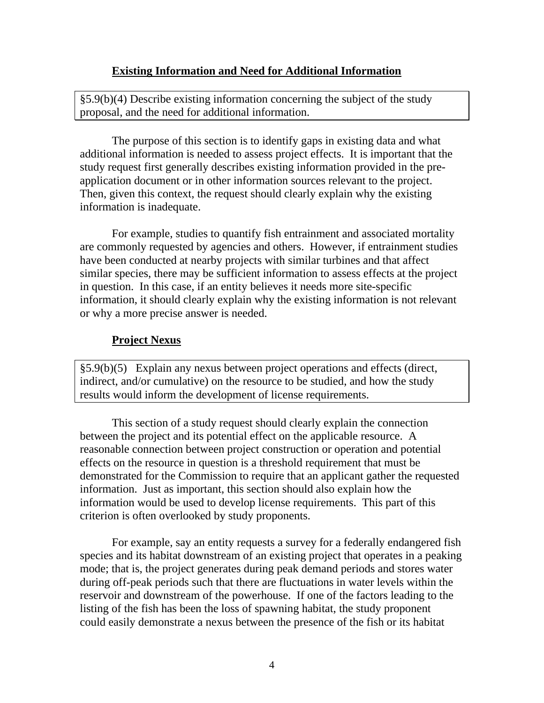#### **Existing Information and Need for Additional Information**

§5.9(b)(4) Describe existing information concerning the subject of the study proposal, and the need for additional information.

 The purpose of this section is to identify gaps in existing data and what additional information is needed to assess project effects. It is important that the study request first generally describes existing information provided in the preapplication document or in other information sources relevant to the project. Then, given this context, the request should clearly explain why the existing information is inadequate.

 For example, studies to quantify fish entrainment and associated mortality are commonly requested by agencies and others. However, if entrainment studies have been conducted at nearby projects with similar turbines and that affect similar species, there may be sufficient information to assess effects at the project in question. In this case, if an entity believes it needs more site-specific information, it should clearly explain why the existing information is not relevant or why a more precise answer is needed.

#### **Project Nexus**

§5.9(b)(5) Explain any nexus between project operations and effects (direct, indirect, and/or cumulative) on the resource to be studied, and how the study results would inform the development of license requirements.

 This section of a study request should clearly explain the connection between the project and its potential effect on the applicable resource. A reasonable connection between project construction or operation and potential effects on the resource in question is a threshold requirement that must be demonstrated for the Commission to require that an applicant gather the requested information. Just as important, this section should also explain how the information would be used to develop license requirements. This part of this criterion is often overlooked by study proponents.

 For example, say an entity requests a survey for a federally endangered fish species and its habitat downstream of an existing project that operates in a peaking mode; that is, the project generates during peak demand periods and stores water during off-peak periods such that there are fluctuations in water levels within the reservoir and downstream of the powerhouse. If one of the factors leading to the listing of the fish has been the loss of spawning habitat, the study proponent could easily demonstrate a nexus between the presence of the fish or its habitat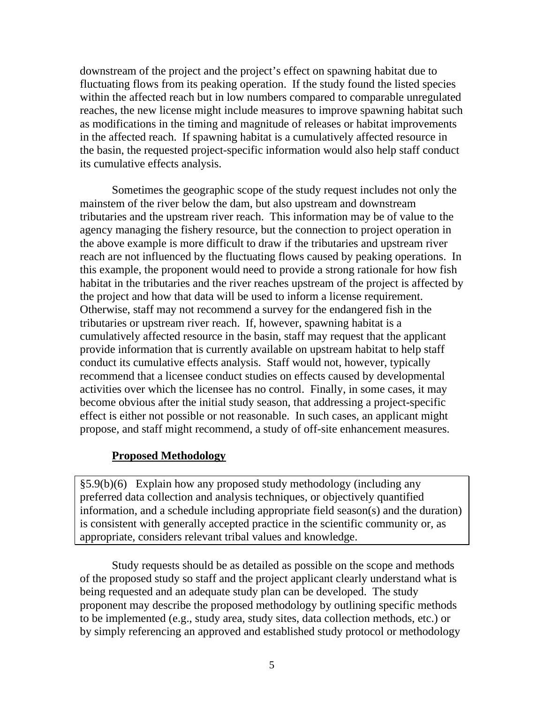downstream of the project and the project's effect on spawning habitat due to fluctuating flows from its peaking operation. If the study found the listed species within the affected reach but in low numbers compared to comparable unregulated reaches, the new license might include measures to improve spawning habitat such as modifications in the timing and magnitude of releases or habitat improvements in the affected reach. If spawning habitat is a cumulatively affected resource in the basin, the requested project-specific information would also help staff conduct its cumulative effects analysis.

 Sometimes the geographic scope of the study request includes not only the mainstem of the river below the dam, but also upstream and downstream tributaries and the upstream river reach. This information may be of value to the agency managing the fishery resource, but the connection to project operation in the above example is more difficult to draw if the tributaries and upstream river reach are not influenced by the fluctuating flows caused by peaking operations. In this example, the proponent would need to provide a strong rationale for how fish habitat in the tributaries and the river reaches upstream of the project is affected by the project and how that data will be used to inform a license requirement. Otherwise, staff may not recommend a survey for the endangered fish in the tributaries or upstream river reach. If, however, spawning habitat is a cumulatively affected resource in the basin, staff may request that the applicant provide information that is currently available on upstream habitat to help staff conduct its cumulative effects analysis. Staff would not, however, typically recommend that a licensee conduct studies on effects caused by developmental activities over which the licensee has no control. Finally, in some cases, it may become obvious after the initial study season, that addressing a project-specific effect is either not possible or not reasonable. In such cases, an applicant might propose, and staff might recommend, a study of off-site enhancement measures.

# **Proposed Methodology**

§5.9(b)(6) Explain how any proposed study methodology (including any preferred data collection and analysis techniques, or objectively quantified information, and a schedule including appropriate field season(s) and the duration) is consistent with generally accepted practice in the scientific community or, as appropriate, considers relevant tribal values and knowledge.

 Study requests should be as detailed as possible on the scope and methods of the proposed study so staff and the project applicant clearly understand what is being requested and an adequate study plan can be developed. The study proponent may describe the proposed methodology by outlining specific methods to be implemented (e.g., study area, study sites, data collection methods, etc.) or by simply referencing an approved and established study protocol or methodology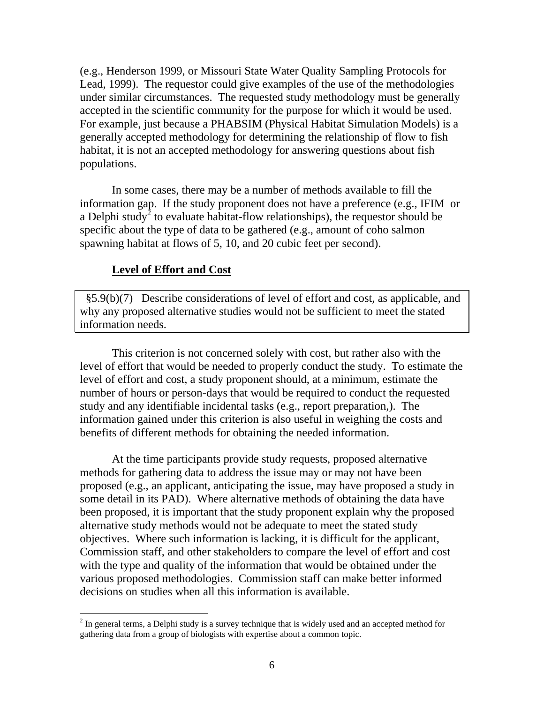(e.g., Henderson 1999, or Missouri State Water Quality Sampling Protocols for Lead, 1999). The requestor could give examples of the use of the methodologies under similar circumstances. The requested study methodology must be generally accepted in the scientific community for the purpose for which it would be used. For example, just because a PHABSIM (Physical Habitat Simulation Models) is a generally accepted methodology for determining the relationship of flow to fish habitat, it is not an accepted methodology for answering questions about fish populations.

 In some cases, there may be a number of methods available to fill the information gap. If the study proponent does not have a preference (e.g., IFIM or a Delphi study<sup>2</sup> to evaluate habitat-flow relationships), the requestor should be specific about the type of data to be gathered (e.g., amount of coho salmon spawning habitat at flows of 5, 10, and 20 cubic feet per second).

#### **Level of Effort and Cost**

 $\overline{a}$ 

 §5.9(b)(7) Describe considerations of level of effort and cost, as applicable, and why any proposed alternative studies would not be sufficient to meet the stated information needs.

 This criterion is not concerned solely with cost, but rather also with the level of effort that would be needed to properly conduct the study. To estimate the level of effort and cost, a study proponent should, at a minimum, estimate the number of hours or person-days that would be required to conduct the requested study and any identifiable incidental tasks (e.g., report preparation,). The information gained under this criterion is also useful in weighing the costs and benefits of different methods for obtaining the needed information.

 At the time participants provide study requests, proposed alternative methods for gathering data to address the issue may or may not have been proposed (e.g., an applicant, anticipating the issue, may have proposed a study in some detail in its PAD). Where alternative methods of obtaining the data have been proposed, it is important that the study proponent explain why the proposed alternative study methods would not be adequate to meet the stated study objectives. Where such information is lacking, it is difficult for the applicant, Commission staff, and other stakeholders to compare the level of effort and cost with the type and quality of the information that would be obtained under the various proposed methodologies. Commission staff can make better informed decisions on studies when all this information is available.

 $2^{2}$  In general terms, a Delphi study is a survey technique that is widely used and an accepted method for gathering data from a group of biologists with expertise about a common topic.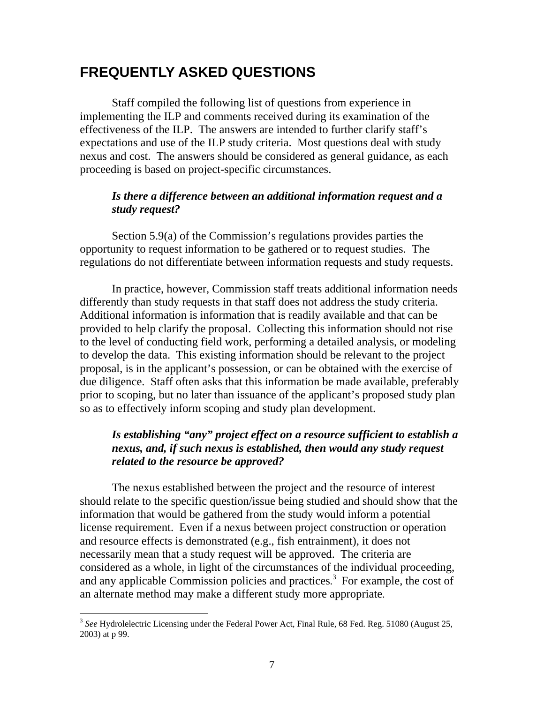# **FREQUENTLY ASKED QUESTIONS**

 Staff compiled the following list of questions from experience in implementing the ILP and comments received during its examination of the effectiveness of the ILP. The answers are intended to further clarify staff's expectations and use of the ILP study criteria. Most questions deal with study nexus and cost. The answers should be considered as general guidance, as each proceeding is based on project-specific circumstances.

#### *Is there a difference between an additional information request and a study request?*

 Section 5.9(a) of the Commission's regulations provides parties the opportunity to request information to be gathered or to request studies. The regulations do not differentiate between information requests and study requests.

 In practice, however, Commission staff treats additional information needs differently than study requests in that staff does not address the study criteria. Additional information is information that is readily available and that can be provided to help clarify the proposal. Collecting this information should not rise to the level of conducting field work, performing a detailed analysis, or modeling to develop the data. This existing information should be relevant to the project proposal, is in the applicant's possession, or can be obtained with the exercise of due diligence. Staff often asks that this information be made available, preferably prior to scoping, but no later than issuance of the applicant's proposed study plan so as to effectively inform scoping and study plan development.

# *Is establishing "any" project effect on a resource sufficient to establish a nexus, and, if such nexus is established, then would any study request related to the resource be approved?*

The nexus established between the project and the resource of interest should relate to the specific question/issue being studied and should show that the information that would be gathered from the study would inform a potential license requirement. Even if a nexus between project construction or operation and resource effects is demonstrated (e.g., fish entrainment), it does not necessarily mean that a study request will be approved. The criteria are considered as a whole, in light of the circumstances of the individual proceeding, and any applicable Commission policies and practices.<sup>3</sup> For example, the cost of an alternate method may make a different study more appropriate.

 $\overline{a}$ 

<sup>3</sup> *See* Hydrolelectric Licensing under the Federal Power Act, Final Rule, 68 Fed. Reg. 51080 (August 25, 2003) at p 99.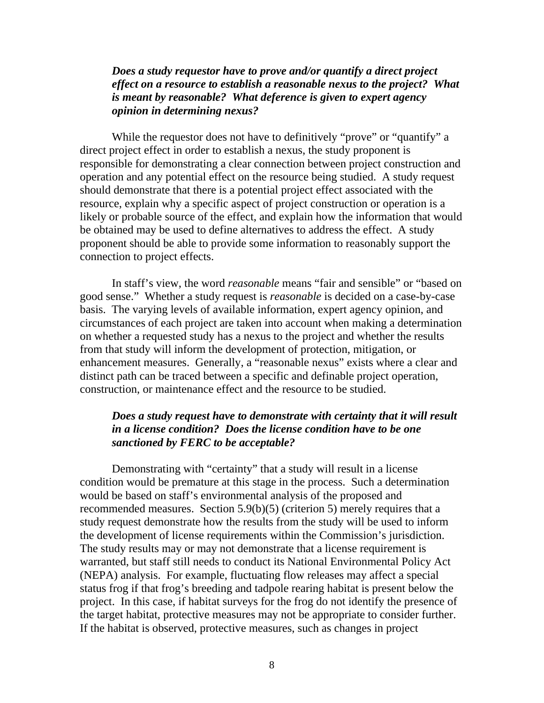*Does a study requestor have to prove and/or quantify a direct project effect on a resource to establish a reasonable nexus to the project? What is meant by reasonable? What deference is given to expert agency opinion in determining nexus?* 

While the requestor does not have to definitively "prove" or "quantify" a direct project effect in order to establish a nexus, the study proponent is responsible for demonstrating a clear connection between project construction and operation and any potential effect on the resource being studied. A study request should demonstrate that there is a potential project effect associated with the resource, explain why a specific aspect of project construction or operation is a likely or probable source of the effect, and explain how the information that would be obtained may be used to define alternatives to address the effect. A study proponent should be able to provide some information to reasonably support the connection to project effects.

 In staff's view, the word *reasonable* means "fair and sensible" or "based on good sense." Whether a study request is *reasonable* is decided on a case-by-case basis. The varying levels of available information, expert agency opinion, and circumstances of each project are taken into account when making a determination on whether a requested study has a nexus to the project and whether the results from that study will inform the development of protection, mitigation, or enhancement measures. Generally, a "reasonable nexus" exists where a clear and distinct path can be traced between a specific and definable project operation, construction, or maintenance effect and the resource to be studied.

#### *Does a study request have to demonstrate with certainty that it will result in a license condition? Does the license condition have to be one sanctioned by FERC to be acceptable?*

Demonstrating with "certainty" that a study will result in a license condition would be premature at this stage in the process. Such a determination would be based on staff's environmental analysis of the proposed and recommended measures. Section 5.9(b)(5) (criterion 5) merely requires that a study request demonstrate how the results from the study will be used to inform the development of license requirements within the Commission's jurisdiction. The study results may or may not demonstrate that a license requirement is warranted, but staff still needs to conduct its National Environmental Policy Act (NEPA) analysis. For example, fluctuating flow releases may affect a special status frog if that frog's breeding and tadpole rearing habitat is present below the project. In this case, if habitat surveys for the frog do not identify the presence of the target habitat, protective measures may not be appropriate to consider further. If the habitat is observed, protective measures, such as changes in project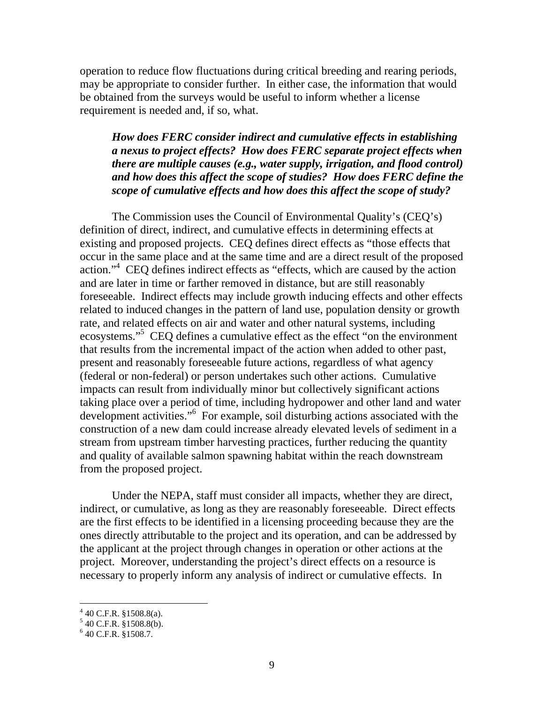operation to reduce flow fluctuations during critical breeding and rearing periods, may be appropriate to consider further. In either case, the information that would be obtained from the surveys would be useful to inform whether a license requirement is needed and, if so, what.

*How does FERC consider indirect and cumulative effects in establishing a nexus to project effects? How does FERC separate project effects when there are multiple causes (e.g., water supply, irrigation, and flood control) and how does this affect the scope of studies? How does FERC define the scope of cumulative effects and how does this affect the scope of study?* 

 The Commission uses the Council of Environmental Quality's (CEQ's) definition of direct, indirect, and cumulative effects in determining effects at existing and proposed projects. CEQ defines direct effects as "those effects that occur in the same place and at the same time and are a direct result of the proposed action."4 CEQ defines indirect effects as "effects, which are caused by the action and are later in time or farther removed in distance, but are still reasonably foreseeable. Indirect effects may include growth inducing effects and other effects related to induced changes in the pattern of land use, population density or growth rate, and related effects on air and water and other natural systems, including ecosystems."<sup>5</sup> CEQ defines a cumulative effect as the effect "on the environment that results from the incremental impact of the action when added to other past, present and reasonably foreseeable future actions, regardless of what agency (federal or non-federal) or person undertakes such other actions. Cumulative impacts can result from individually minor but collectively significant actions taking place over a period of time, including hydropower and other land and water development activities."<sup>6</sup> For example, soil disturbing actions associated with the construction of a new dam could increase already elevated levels of sediment in a stream from upstream timber harvesting practices, further reducing the quantity and quality of available salmon spawning habitat within the reach downstream from the proposed project.

 Under the NEPA, staff must consider all impacts, whether they are direct, indirect, or cumulative, as long as they are reasonably foreseeable. Direct effects are the first effects to be identified in a licensing proceeding because they are the ones directly attributable to the project and its operation, and can be addressed by the applicant at the project through changes in operation or other actions at the project. Moreover, understanding the project's direct effects on a resource is necessary to properly inform any analysis of indirect or cumulative effects. In

 4 40 C.F.R. §1508.8(a). 5 40 C.F.R. §1508.8(b).

 $6$  40 C.F.R. §1508.7.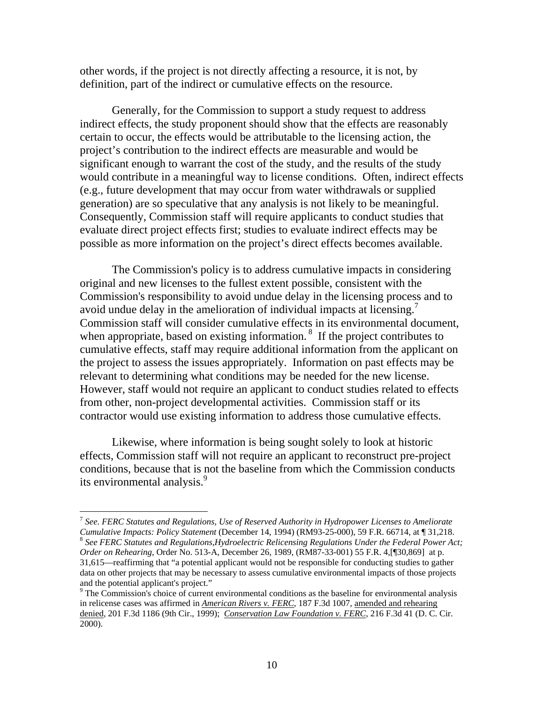other words, if the project is not directly affecting a resource, it is not, by definition, part of the indirect or cumulative effects on the resource.

 Generally, for the Commission to support a study request to address indirect effects, the study proponent should show that the effects are reasonably certain to occur, the effects would be attributable to the licensing action, the project's contribution to the indirect effects are measurable and would be significant enough to warrant the cost of the study, and the results of the study would contribute in a meaningful way to license conditions. Often, indirect effects (e.g., future development that may occur from water withdrawals or supplied generation) are so speculative that any analysis is not likely to be meaningful. Consequently, Commission staff will require applicants to conduct studies that evaluate direct project effects first; studies to evaluate indirect effects may be possible as more information on the project's direct effects becomes available.

 The Commission's policy is to address cumulative impacts in considering original and new licenses to the fullest extent possible, consistent with the Commission's responsibility to avoid undue delay in the licensing process and to avoid undue delay in the amelioration of individual impacts at licensing.<sup>7</sup> Commission staff will consider cumulative effects in its environmental document, when appropriate, based on existing information.<sup>8</sup> If the project contributes to cumulative effects, staff may require additional information from the applicant on the project to assess the issues appropriately. Information on past effects may be relevant to determining what conditions may be needed for the new license. However, staff would not require an applicant to conduct studies related to effects from other, non-project developmental activities. Commission staff or its contractor would use existing information to address those cumulative effects.

 Likewise, where information is being sought solely to look at historic effects, Commission staff will not require an applicant to reconstruct pre-project conditions, because that is not the baseline from which the Commission conducts its environmental analysis.<sup>9</sup>

 $\overline{a}$ 

<sup>7</sup> *See*. *FERC Statutes and Regulations, Use of Reserved Authority in Hydropower Licenses to Ameliorate Cumulative Impacts: Policy Statement (December 14, 1994) (RM93-25-000), 59 F.R. 66714, at* ¶ 31,218.<br><sup>8</sup> *See FERC Statutes and Regulations,Hydroelectric Relicensing Regulations Under the Federal Power Act; Order on Rehearing*, Order No. 513-A, December 26, 1989, (RM87-33-001) 55 F.R. 4,[¶30,869] at p. 31,615—reaffirming that "a potential applicant would not be responsible for conducting studies to gather data on other projects that may be necessary to assess cumulative environmental impacts of those projects and the potential applicant's project."

<sup>&</sup>lt;sup>9</sup> The Commission's choice of current environmental conditions as the baseline for environmental analysis in relicense cases was affirmed in *American Rivers v. FERC*, 187 F.3d 1007, amended and rehearing denied, 201 F.3d 1186 (9th Cir., 1999); *Conservation Law Foundation v. FERC*, 216 F.3d 41 (D. C. Cir. 2000).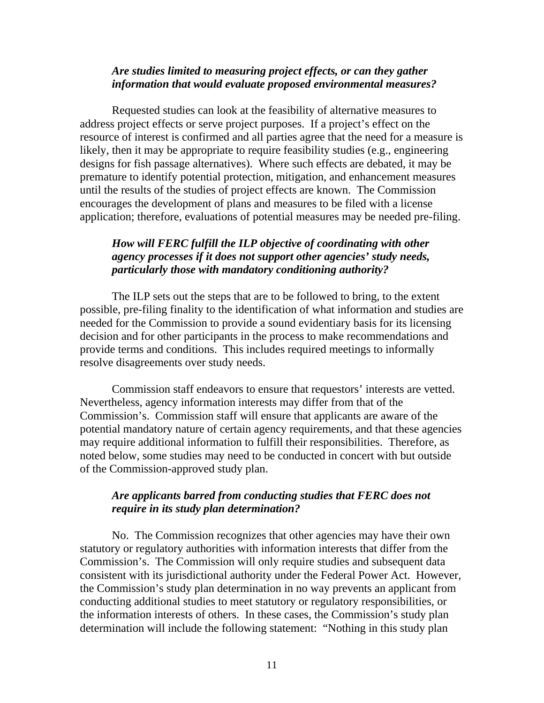#### *Are studies limited to measuring project effects, or can they gather information that would evaluate proposed environmental measures?*

 Requested studies can look at the feasibility of alternative measures to address project effects or serve project purposes. If a project's effect on the resource of interest is confirmed and all parties agree that the need for a measure is likely, then it may be appropriate to require feasibility studies (e.g., engineering designs for fish passage alternatives). Where such effects are debated, it may be premature to identify potential protection, mitigation, and enhancement measures until the results of the studies of project effects are known. The Commission encourages the development of plans and measures to be filed with a license application; therefore, evaluations of potential measures may be needed pre-filing.

#### *How will FERC fulfill the ILP objective of coordinating with other agency processes if it does not support other agencies' study needs, particularly those with mandatory conditioning authority?*

 The ILP sets out the steps that are to be followed to bring, to the extent possible, pre-filing finality to the identification of what information and studies are needed for the Commission to provide a sound evidentiary basis for its licensing decision and for other participants in the process to make recommendations and provide terms and conditions. This includes required meetings to informally resolve disagreements over study needs.

 Commission staff endeavors to ensure that requestors' interests are vetted. Nevertheless, agency information interests may differ from that of the Commission's. Commission staff will ensure that applicants are aware of the potential mandatory nature of certain agency requirements, and that these agencies may require additional information to fulfill their responsibilities. Therefore, as noted below, some studies may need to be conducted in concert with but outside of the Commission-approved study plan.

#### *Are applicants barred from conducting studies that FERC does not require in its study plan determination?*

No. The Commission recognizes that other agencies may have their own statutory or regulatory authorities with information interests that differ from the Commission's. The Commission will only require studies and subsequent data consistent with its jurisdictional authority under the Federal Power Act. However, the Commission's study plan determination in no way prevents an applicant from conducting additional studies to meet statutory or regulatory responsibilities, or the information interests of others. In these cases, the Commission's study plan determination will include the following statement: "Nothing in this study plan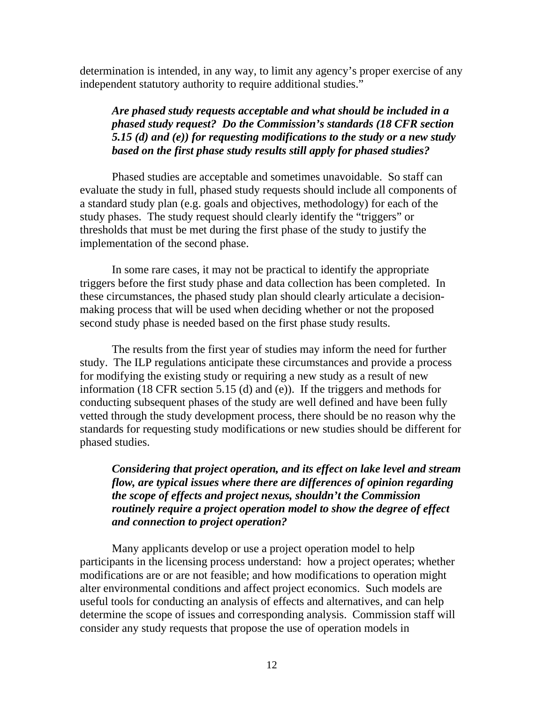determination is intended, in any way, to limit any agency's proper exercise of any independent statutory authority to require additional studies."

# *Are phased study requests acceptable and what should be included in a phased study request? Do the Commission's standards (18 CFR section 5.15 (d) and (e)) for requesting modifications to the study or a new study based on the first phase study results still apply for phased studies?*

Phased studies are acceptable and sometimes unavoidable. So staff can evaluate the study in full, phased study requests should include all components of a standard study plan (e.g. goals and objectives, methodology) for each of the study phases. The study request should clearly identify the "triggers" or thresholds that must be met during the first phase of the study to justify the implementation of the second phase.

 In some rare cases, it may not be practical to identify the appropriate triggers before the first study phase and data collection has been completed. In these circumstances, the phased study plan should clearly articulate a decisionmaking process that will be used when deciding whether or not the proposed second study phase is needed based on the first phase study results.

 The results from the first year of studies may inform the need for further study. The ILP regulations anticipate these circumstances and provide a process for modifying the existing study or requiring a new study as a result of new information (18 CFR section 5.15 (d) and (e)). If the triggers and methods for conducting subsequent phases of the study are well defined and have been fully vetted through the study development process, there should be no reason why the standards for requesting study modifications or new studies should be different for phased studies.

*Considering that project operation, and its effect on lake level and stream flow, are typical issues where there are differences of opinion regarding the scope of effects and project nexus, shouldn't the Commission routinely require a project operation model to show the degree of effect and connection to project operation?* 

 Many applicants develop or use a project operation model to help participants in the licensing process understand: how a project operates; whether modifications are or are not feasible; and how modifications to operation might alter environmental conditions and affect project economics. Such models are useful tools for conducting an analysis of effects and alternatives, and can help determine the scope of issues and corresponding analysis. Commission staff will consider any study requests that propose the use of operation models in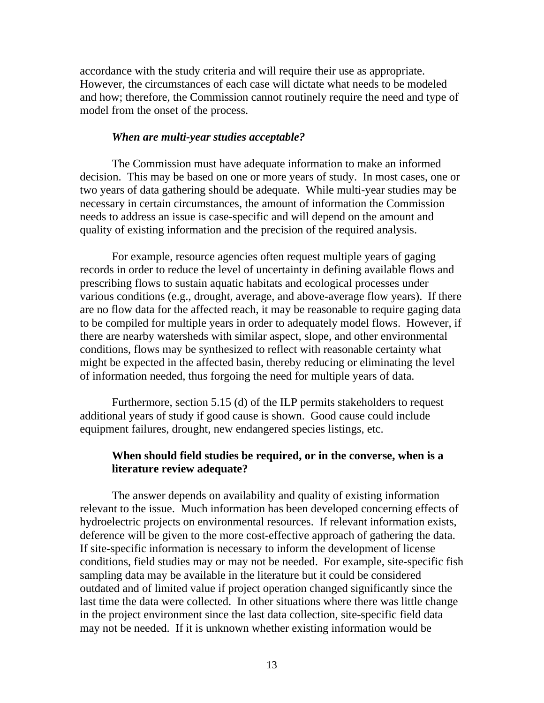accordance with the study criteria and will require their use as appropriate. However, the circumstances of each case will dictate what needs to be modeled and how; therefore, the Commission cannot routinely require the need and type of model from the onset of the process.

#### *When are multi-year studies acceptable?*

The Commission must have adequate information to make an informed decision. This may be based on one or more years of study. In most cases, one or two years of data gathering should be adequate. While multi-year studies may be necessary in certain circumstances, the amount of information the Commission needs to address an issue is case-specific and will depend on the amount and quality of existing information and the precision of the required analysis.

 For example, resource agencies often request multiple years of gaging records in order to reduce the level of uncertainty in defining available flows and prescribing flows to sustain aquatic habitats and ecological processes under various conditions (e.g., drought, average, and above-average flow years). If there are no flow data for the affected reach, it may be reasonable to require gaging data to be compiled for multiple years in order to adequately model flows. However, if there are nearby watersheds with similar aspect, slope, and other environmental conditions, flows may be synthesized to reflect with reasonable certainty what might be expected in the affected basin, thereby reducing or eliminating the level of information needed, thus forgoing the need for multiple years of data.

 Furthermore, section 5.15 (d) of the ILP permits stakeholders to request additional years of study if good cause is shown. Good cause could include equipment failures, drought, new endangered species listings, etc.

#### **When should field studies be required, or in the converse, when is a literature review adequate?**

 The answer depends on availability and quality of existing information relevant to the issue. Much information has been developed concerning effects of hydroelectric projects on environmental resources. If relevant information exists, deference will be given to the more cost-effective approach of gathering the data. If site-specific information is necessary to inform the development of license conditions, field studies may or may not be needed. For example, site-specific fish sampling data may be available in the literature but it could be considered outdated and of limited value if project operation changed significantly since the last time the data were collected. In other situations where there was little change in the project environment since the last data collection, site-specific field data may not be needed. If it is unknown whether existing information would be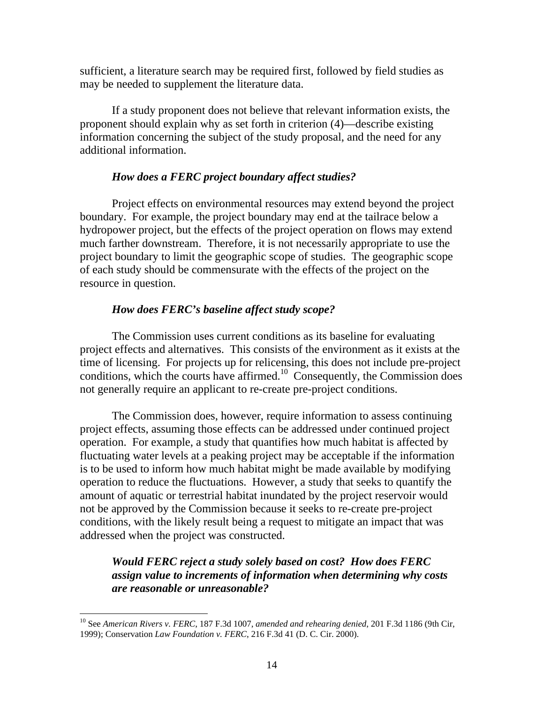sufficient, a literature search may be required first, followed by field studies as may be needed to supplement the literature data.

 If a study proponent does not believe that relevant information exists, the proponent should explain why as set forth in criterion (4)—describe existing information concerning the subject of the study proposal, and the need for any additional information.

#### *How does a FERC project boundary affect studies?*

Project effects on environmental resources may extend beyond the project boundary. For example, the project boundary may end at the tailrace below a hydropower project, but the effects of the project operation on flows may extend much farther downstream. Therefore, it is not necessarily appropriate to use the project boundary to limit the geographic scope of studies. The geographic scope of each study should be commensurate with the effects of the project on the resource in question.

#### *How does FERC's baseline affect study scope?*

 The Commission uses current conditions as its baseline for evaluating project effects and alternatives. This consists of the environment as it exists at the time of licensing. For projects up for relicensing, this does not include pre-project conditions, which the courts have affirmed.<sup>10</sup> Consequently, the Commission does not generally require an applicant to re-create pre-project conditions.

 The Commission does, however, require information to assess continuing project effects, assuming those effects can be addressed under continued project operation. For example, a study that quantifies how much habitat is affected by fluctuating water levels at a peaking project may be acceptable if the information is to be used to inform how much habitat might be made available by modifying operation to reduce the fluctuations. However, a study that seeks to quantify the amount of aquatic or terrestrial habitat inundated by the project reservoir would not be approved by the Commission because it seeks to re-create pre-project conditions, with the likely result being a request to mitigate an impact that was addressed when the project was constructed.

*Would FERC reject a study solely based on cost? How does FERC assign value to increments of information when determining why costs are reasonable or unreasonable?* 

 $\overline{a}$ 

<sup>10</sup> See *American Rivers v. FERC*, 187 F.3d 1007, *amended and rehearing denied*, 201 F.3d 1186 (9th Cir, 1999); Conservation *Law Foundation v. FERC*, 216 F.3d 41 (D. C. Cir. 2000).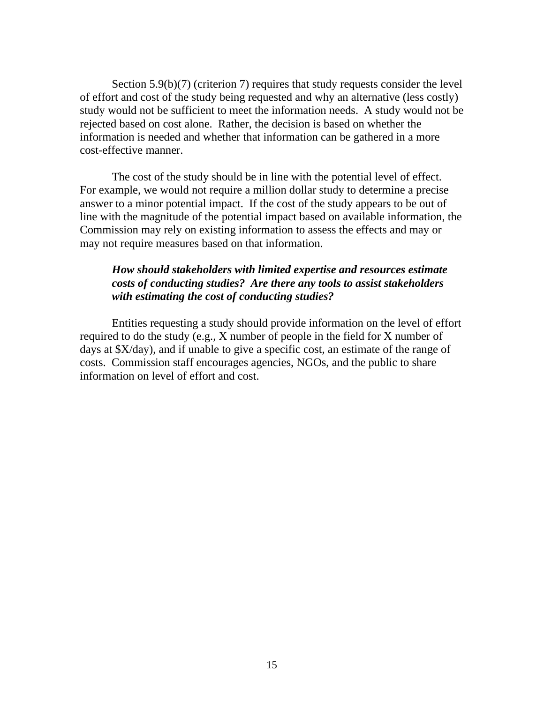Section 5.9(b)(7) (criterion 7) requires that study requests consider the level of effort and cost of the study being requested and why an alternative (less costly) study would not be sufficient to meet the information needs. A study would not be rejected based on cost alone. Rather, the decision is based on whether the information is needed and whether that information can be gathered in a more cost-effective manner.

 The cost of the study should be in line with the potential level of effect. For example, we would not require a million dollar study to determine a precise answer to a minor potential impact. If the cost of the study appears to be out of line with the magnitude of the potential impact based on available information, the Commission may rely on existing information to assess the effects and may or may not require measures based on that information.

#### *How should stakeholders with limited expertise and resources estimate costs of conducting studies? Are there any tools to assist stakeholders with estimating the cost of conducting studies?*

 Entities requesting a study should provide information on the level of effort required to do the study (e.g., X number of people in the field for X number of days at \$X/day), and if unable to give a specific cost, an estimate of the range of costs. Commission staff encourages agencies, NGOs, and the public to share information on level of effort and cost.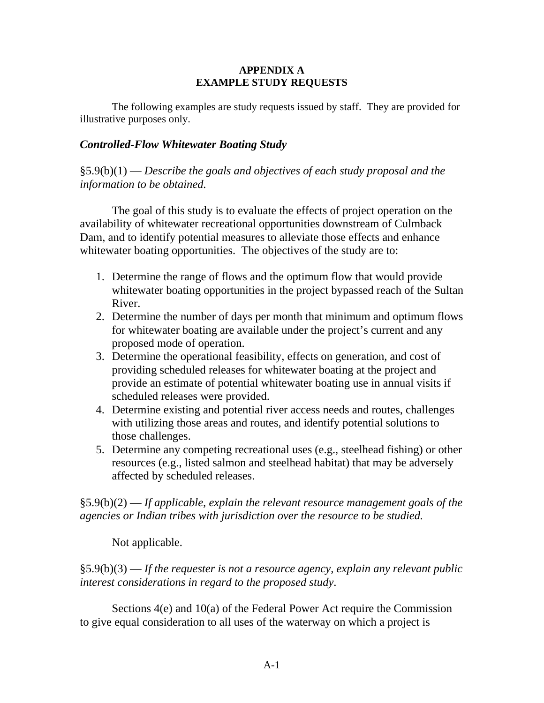#### **APPENDIX A EXAMPLE STUDY REQUESTS**

 The following examples are study requests issued by staff. They are provided for illustrative purposes only.

# *Controlled-Flow Whitewater Boating Study*

§5.9(b)(1) — *Describe the goals and objectives of each study proposal and the information to be obtained.* 

The goal of this study is to evaluate the effects of project operation on the availability of whitewater recreational opportunities downstream of Culmback Dam, and to identify potential measures to alleviate those effects and enhance whitewater boating opportunities. The objectives of the study are to:

- 1. Determine the range of flows and the optimum flow that would provide whitewater boating opportunities in the project bypassed reach of the Sultan River.
- 2. Determine the number of days per month that minimum and optimum flows for whitewater boating are available under the project's current and any proposed mode of operation.
- 3. Determine the operational feasibility, effects on generation, and cost of providing scheduled releases for whitewater boating at the project and provide an estimate of potential whitewater boating use in annual visits if scheduled releases were provided.
- 4. Determine existing and potential river access needs and routes, challenges with utilizing those areas and routes, and identify potential solutions to those challenges.
- 5. Determine any competing recreational uses (e.g., steelhead fishing) or other resources (e.g., listed salmon and steelhead habitat) that may be adversely affected by scheduled releases.

§5.9(b)(2) — *If applicable, explain the relevant resource management goals of the agencies or Indian tribes with jurisdiction over the resource to be studied.*

Not applicable.

§5.9(b)(3) — *If the requester is not a resource agency, explain any relevant public interest considerations in regard to the proposed study*.

 Sections 4(e) and 10(a) of the Federal Power Act require the Commission to give equal consideration to all uses of the waterway on which a project is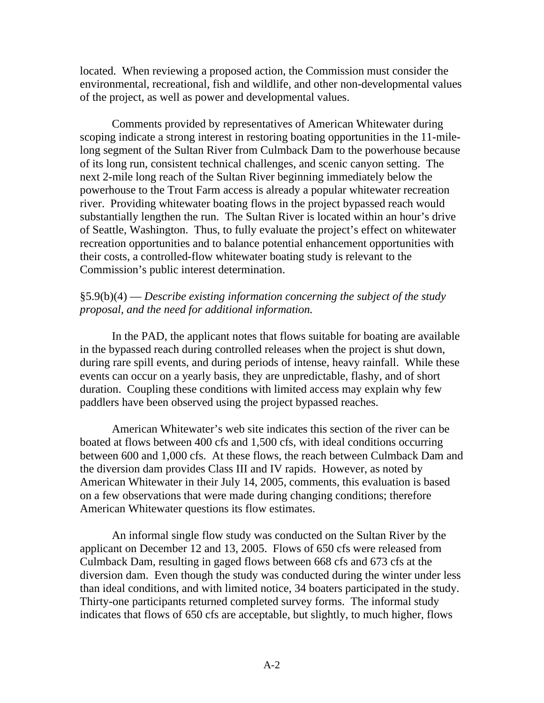located. When reviewing a proposed action, the Commission must consider the environmental, recreational, fish and wildlife, and other non-developmental values of the project, as well as power and developmental values.

 Comments provided by representatives of American Whitewater during scoping indicate a strong interest in restoring boating opportunities in the 11-milelong segment of the Sultan River from Culmback Dam to the powerhouse because of its long run, consistent technical challenges, and scenic canyon setting. The next 2-mile long reach of the Sultan River beginning immediately below the powerhouse to the Trout Farm access is already a popular whitewater recreation river. Providing whitewater boating flows in the project bypassed reach would substantially lengthen the run. The Sultan River is located within an hour's drive of Seattle, Washington. Thus, to fully evaluate the project's effect on whitewater recreation opportunities and to balance potential enhancement opportunities with their costs, a controlled-flow whitewater boating study is relevant to the Commission's public interest determination.

#### §5.9(b)(4) — *Describe existing information concerning the subject of the study proposal, and the need for additional information.*

 In the PAD, the applicant notes that flows suitable for boating are available in the bypassed reach during controlled releases when the project is shut down, during rare spill events, and during periods of intense, heavy rainfall. While these events can occur on a yearly basis, they are unpredictable, flashy, and of short duration. Coupling these conditions with limited access may explain why few paddlers have been observed using the project bypassed reaches.

 American Whitewater's web site indicates this section of the river can be boated at flows between 400 cfs and 1,500 cfs, with ideal conditions occurring between 600 and 1,000 cfs. At these flows, the reach between Culmback Dam and the diversion dam provides Class III and IV rapids. However, as noted by American Whitewater in their July 14, 2005, comments, this evaluation is based on a few observations that were made during changing conditions; therefore American Whitewater questions its flow estimates.

 An informal single flow study was conducted on the Sultan River by the applicant on December 12 and 13, 2005. Flows of 650 cfs were released from Culmback Dam, resulting in gaged flows between 668 cfs and 673 cfs at the diversion dam. Even though the study was conducted during the winter under less than ideal conditions, and with limited notice, 34 boaters participated in the study. Thirty-one participants returned completed survey forms. The informal study indicates that flows of 650 cfs are acceptable, but slightly, to much higher, flows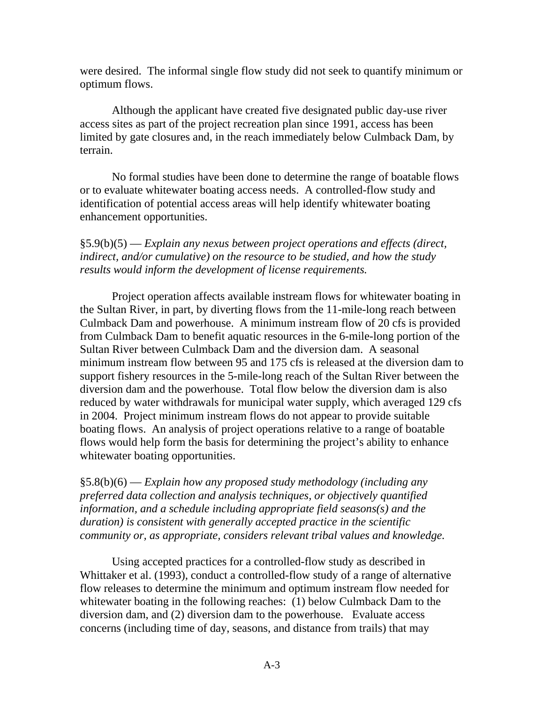were desired. The informal single flow study did not seek to quantify minimum or optimum flows.

 Although the applicant have created five designated public day-use river access sites as part of the project recreation plan since 1991, access has been limited by gate closures and, in the reach immediately below Culmback Dam, by terrain.

 No formal studies have been done to determine the range of boatable flows or to evaluate whitewater boating access needs. A controlled-flow study and identification of potential access areas will help identify whitewater boating enhancement opportunities.

§5.9(b)(5) — *Explain any nexus between project operations and effects (direct, indirect, and/or cumulative) on the resource to be studied, and how the study results would inform the development of license requirements.*

 Project operation affects available instream flows for whitewater boating in the Sultan River, in part, by diverting flows from the 11-mile-long reach between Culmback Dam and powerhouse. A minimum instream flow of 20 cfs is provided from Culmback Dam to benefit aquatic resources in the 6-mile-long portion of the Sultan River between Culmback Dam and the diversion dam. A seasonal minimum instream flow between 95 and 175 cfs is released at the diversion dam to support fishery resources in the 5-mile-long reach of the Sultan River between the diversion dam and the powerhouse. Total flow below the diversion dam is also reduced by water withdrawals for municipal water supply, which averaged 129 cfs in 2004. Project minimum instream flows do not appear to provide suitable boating flows. An analysis of project operations relative to a range of boatable flows would help form the basis for determining the project's ability to enhance whitewater boating opportunities.

§5.8(b)(6) — *Explain how any proposed study methodology (including any preferred data collection and analysis techniques, or objectively quantified information, and a schedule including appropriate field seasons(s) and the duration) is consistent with generally accepted practice in the scientific community or, as appropriate, considers relevant tribal values and knowledge.*

 Using accepted practices for a controlled-flow study as described in Whittaker et al. (1993), conduct a controlled-flow study of a range of alternative flow releases to determine the minimum and optimum instream flow needed for whitewater boating in the following reaches: (1) below Culmback Dam to the diversion dam, and (2) diversion dam to the powerhouse. Evaluate access concerns (including time of day, seasons, and distance from trails) that may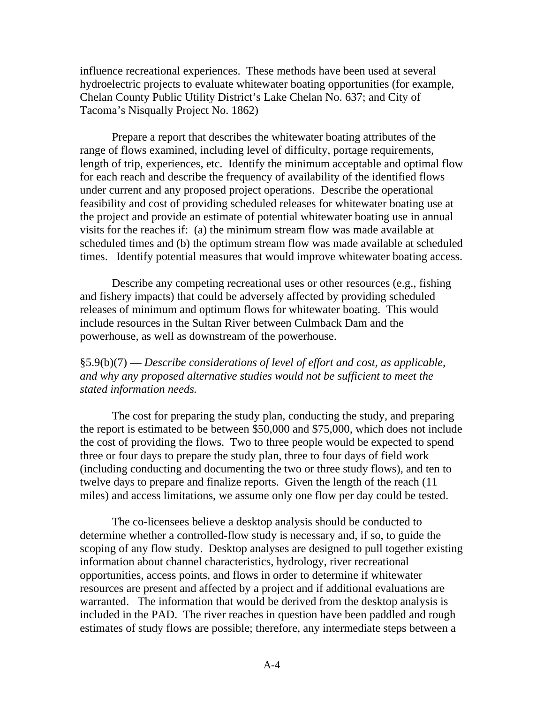influence recreational experiences. These methods have been used at several hydroelectric projects to evaluate whitewater boating opportunities (for example, Chelan County Public Utility District's Lake Chelan No. 637; and City of Tacoma's Nisqually Project No. 1862)

 Prepare a report that describes the whitewater boating attributes of the range of flows examined, including level of difficulty, portage requirements, length of trip, experiences, etc. Identify the minimum acceptable and optimal flow for each reach and describe the frequency of availability of the identified flows under current and any proposed project operations. Describe the operational feasibility and cost of providing scheduled releases for whitewater boating use at the project and provide an estimate of potential whitewater boating use in annual visits for the reaches if: (a) the minimum stream flow was made available at scheduled times and (b) the optimum stream flow was made available at scheduled times. Identify potential measures that would improve whitewater boating access.

 Describe any competing recreational uses or other resources (e.g., fishing and fishery impacts) that could be adversely affected by providing scheduled releases of minimum and optimum flows for whitewater boating. This would include resources in the Sultan River between Culmback Dam and the powerhouse, as well as downstream of the powerhouse.

# §5.9(b)(7) — *Describe considerations of level of effort and cost, as applicable, and why any proposed alternative studies would not be sufficient to meet the stated information needs.*

 The cost for preparing the study plan, conducting the study, and preparing the report is estimated to be between \$50,000 and \$75,000, which does not include the cost of providing the flows. Two to three people would be expected to spend three or four days to prepare the study plan, three to four days of field work (including conducting and documenting the two or three study flows), and ten to twelve days to prepare and finalize reports. Given the length of the reach (11 miles) and access limitations, we assume only one flow per day could be tested.

 The co-licensees believe a desktop analysis should be conducted to determine whether a controlled-flow study is necessary and, if so, to guide the scoping of any flow study. Desktop analyses are designed to pull together existing information about channel characteristics, hydrology, river recreational opportunities, access points, and flows in order to determine if whitewater resources are present and affected by a project and if additional evaluations are warranted. The information that would be derived from the desktop analysis is included in the PAD. The river reaches in question have been paddled and rough estimates of study flows are possible; therefore, any intermediate steps between a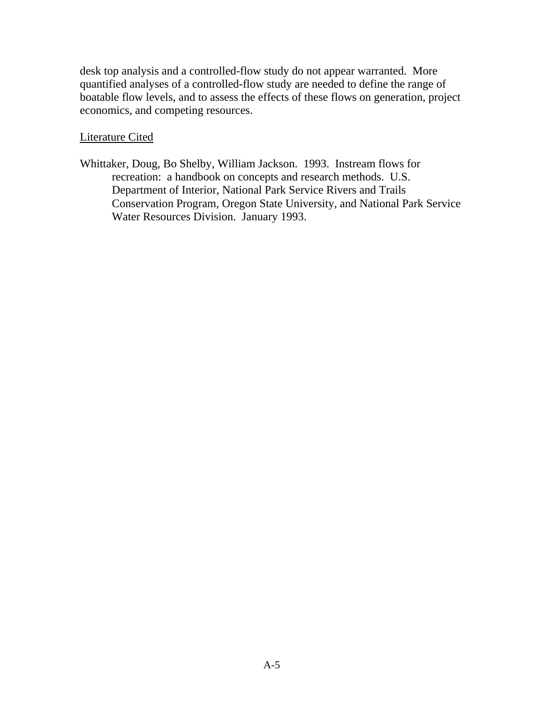desk top analysis and a controlled-flow study do not appear warranted. More quantified analyses of a controlled-flow study are needed to define the range of boatable flow levels, and to assess the effects of these flows on generation, project economics, and competing resources.

Literature Cited

Whittaker, Doug, Bo Shelby, William Jackson. 1993. Instream flows for recreation: a handbook on concepts and research methods. U.S. Department of Interior, National Park Service Rivers and Trails Conservation Program, Oregon State University, and National Park Service Water Resources Division. January 1993.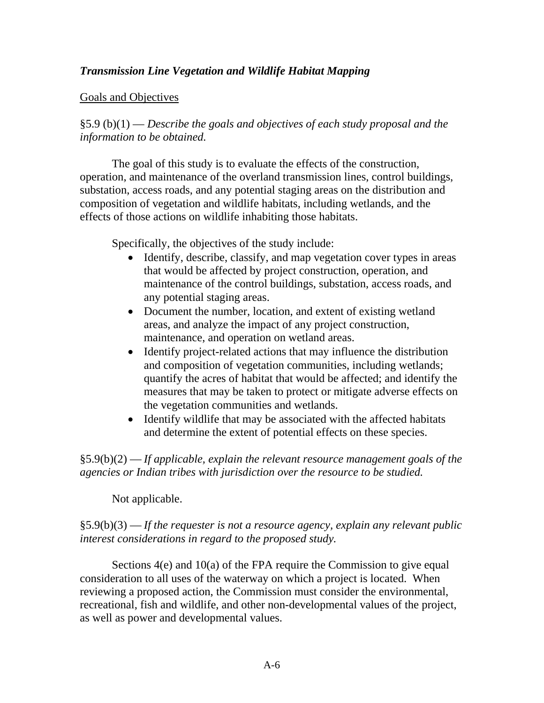# *Transmission Line Vegetation and Wildlife Habitat Mapping*

# Goals and Objectives

§5.9 (b)(1) — *Describe the goals and objectives of each study proposal and the information to be obtained.* 

 The goal of this study is to evaluate the effects of the construction, operation, and maintenance of the overland transmission lines, control buildings, substation, access roads, and any potential staging areas on the distribution and composition of vegetation and wildlife habitats, including wetlands, and the effects of those actions on wildlife inhabiting those habitats.

Specifically, the objectives of the study include:

- Identify, describe, classify, and map vegetation cover types in areas that would be affected by project construction, operation, and maintenance of the control buildings, substation, access roads, and any potential staging areas.
- Document the number, location, and extent of existing wetland areas, and analyze the impact of any project construction, maintenance, and operation on wetland areas.
- Identify project-related actions that may influence the distribution and composition of vegetation communities, including wetlands; quantify the acres of habitat that would be affected; and identify the measures that may be taken to protect or mitigate adverse effects on the vegetation communities and wetlands.
- Identify wildlife that may be associated with the affected habitats and determine the extent of potential effects on these species.

§5.9(b)(2) — *If applicable, explain the relevant resource management goals of the agencies or Indian tribes with jurisdiction over the resource to be studied.* 

Not applicable.

# §5.9(b)(3) — *If the requester is not a resource agency, explain any relevant public interest considerations in regard to the proposed study.*

 Sections 4(e) and 10(a) of the FPA require the Commission to give equal consideration to all uses of the waterway on which a project is located. When reviewing a proposed action, the Commission must consider the environmental, recreational, fish and wildlife, and other non-developmental values of the project, as well as power and developmental values.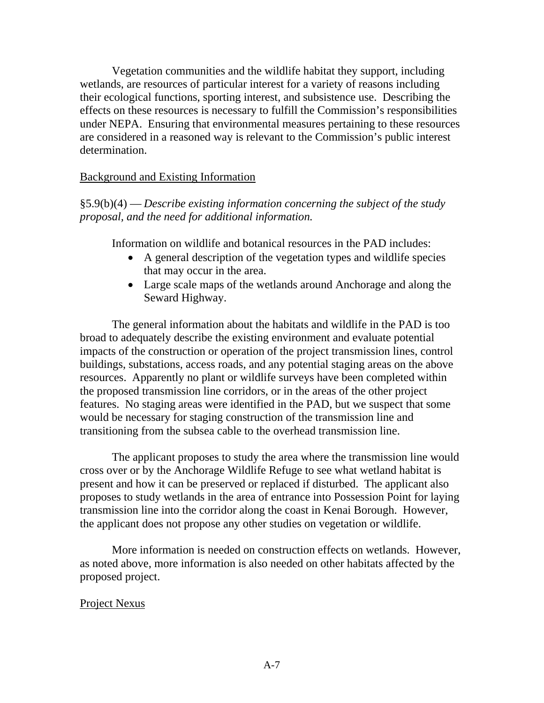Vegetation communities and the wildlife habitat they support, including wetlands, are resources of particular interest for a variety of reasons including their ecological functions, sporting interest, and subsistence use. Describing the effects on these resources is necessary to fulfill the Commission's responsibilities under NEPA. Ensuring that environmental measures pertaining to these resources are considered in a reasoned way is relevant to the Commission's public interest determination.

#### Background and Existing Information

# §5.9(b)(4) — *Describe existing information concerning the subject of the study proposal, and the need for additional information.*

Information on wildlife and botanical resources in the PAD includes:

- A general description of the vegetation types and wildlife species that may occur in the area.
- Large scale maps of the wetlands around Anchorage and along the Seward Highway.

 The general information about the habitats and wildlife in the PAD is too broad to adequately describe the existing environment and evaluate potential impacts of the construction or operation of the project transmission lines, control buildings, substations, access roads, and any potential staging areas on the above resources. Apparently no plant or wildlife surveys have been completed within the proposed transmission line corridors, or in the areas of the other project features. No staging areas were identified in the PAD, but we suspect that some would be necessary for staging construction of the transmission line and transitioning from the subsea cable to the overhead transmission line.

 The applicant proposes to study the area where the transmission line would cross over or by the Anchorage Wildlife Refuge to see what wetland habitat is present and how it can be preserved or replaced if disturbed. The applicant also proposes to study wetlands in the area of entrance into Possession Point for laying transmission line into the corridor along the coast in Kenai Borough. However, the applicant does not propose any other studies on vegetation or wildlife.

 More information is needed on construction effects on wetlands. However, as noted above, more information is also needed on other habitats affected by the proposed project.

# Project Nexus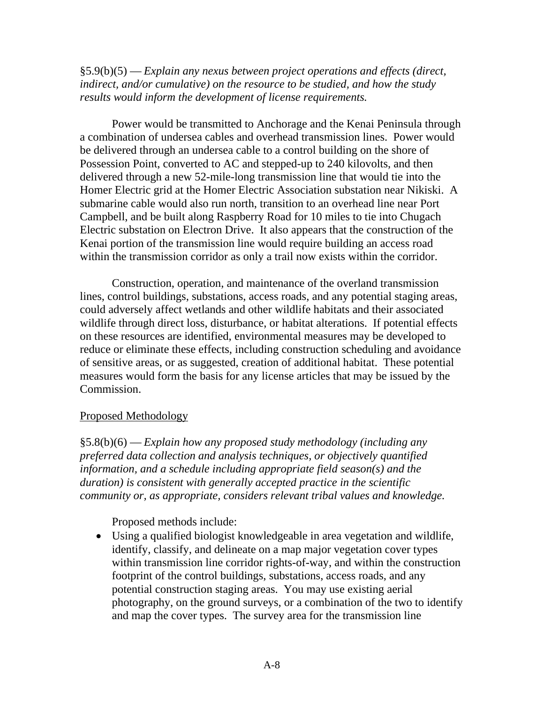§5.9(b)(5) — *Explain any nexus between project operations and effects (direct, indirect, and/or cumulative) on the resource to be studied, and how the study results would inform the development of license requirements.* 

 Power would be transmitted to Anchorage and the Kenai Peninsula through a combination of undersea cables and overhead transmission lines. Power would be delivered through an undersea cable to a control building on the shore of Possession Point, converted to AC and stepped-up to 240 kilovolts, and then delivered through a new 52-mile-long transmission line that would tie into the Homer Electric grid at the Homer Electric Association substation near Nikiski. A submarine cable would also run north, transition to an overhead line near Port Campbell, and be built along Raspberry Road for 10 miles to tie into Chugach Electric substation on Electron Drive. It also appears that the construction of the Kenai portion of the transmission line would require building an access road within the transmission corridor as only a trail now exists within the corridor.

 Construction, operation, and maintenance of the overland transmission lines, control buildings, substations, access roads, and any potential staging areas, could adversely affect wetlands and other wildlife habitats and their associated wildlife through direct loss, disturbance, or habitat alterations. If potential effects on these resources are identified, environmental measures may be developed to reduce or eliminate these effects, including construction scheduling and avoidance of sensitive areas, or as suggested, creation of additional habitat. These potential measures would form the basis for any license articles that may be issued by the Commission.

#### Proposed Methodology

§5.8(b)(6) — *Explain how any proposed study methodology (including any preferred data collection and analysis techniques, or objectively quantified information, and a schedule including appropriate field season(s) and the duration) is consistent with generally accepted practice in the scientific community or, as appropriate, considers relevant tribal values and knowledge.* 

Proposed methods include:

 Using a qualified biologist knowledgeable in area vegetation and wildlife, identify, classify, and delineate on a map major vegetation cover types within transmission line corridor rights-of-way, and within the construction footprint of the control buildings, substations, access roads, and any potential construction staging areas. You may use existing aerial photography, on the ground surveys, or a combination of the two to identify and map the cover types. The survey area for the transmission line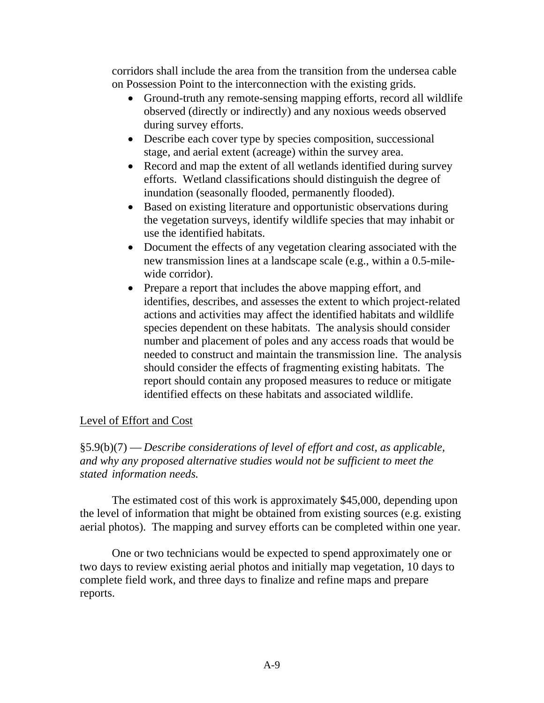corridors shall include the area from the transition from the undersea cable on Possession Point to the interconnection with the existing grids.

- Ground-truth any remote-sensing mapping efforts, record all wildlife observed (directly or indirectly) and any noxious weeds observed during survey efforts.
- Describe each cover type by species composition, successional stage, and aerial extent (acreage) within the survey area.
- Record and map the extent of all wetlands identified during survey efforts. Wetland classifications should distinguish the degree of inundation (seasonally flooded, permanently flooded).
- Based on existing literature and opportunistic observations during the vegetation surveys, identify wildlife species that may inhabit or use the identified habitats.
- Document the effects of any vegetation clearing associated with the new transmission lines at a landscape scale (e.g., within a 0.5-milewide corridor).
- Prepare a report that includes the above mapping effort, and identifies, describes, and assesses the extent to which project-related actions and activities may affect the identified habitats and wildlife species dependent on these habitats. The analysis should consider number and placement of poles and any access roads that would be needed to construct and maintain the transmission line. The analysis should consider the effects of fragmenting existing habitats. The report should contain any proposed measures to reduce or mitigate identified effects on these habitats and associated wildlife.

# Level of Effort and Cost

§5.9(b)(7) — *Describe considerations of level of effort and cost, as applicable, and why any proposed alternative studies would not be sufficient to meet the stated information needs.* 

 The estimated cost of this work is approximately \$45,000, depending upon the level of information that might be obtained from existing sources (e.g. existing aerial photos). The mapping and survey efforts can be completed within one year.

 One or two technicians would be expected to spend approximately one or two days to review existing aerial photos and initially map vegetation, 10 days to complete field work, and three days to finalize and refine maps and prepare reports.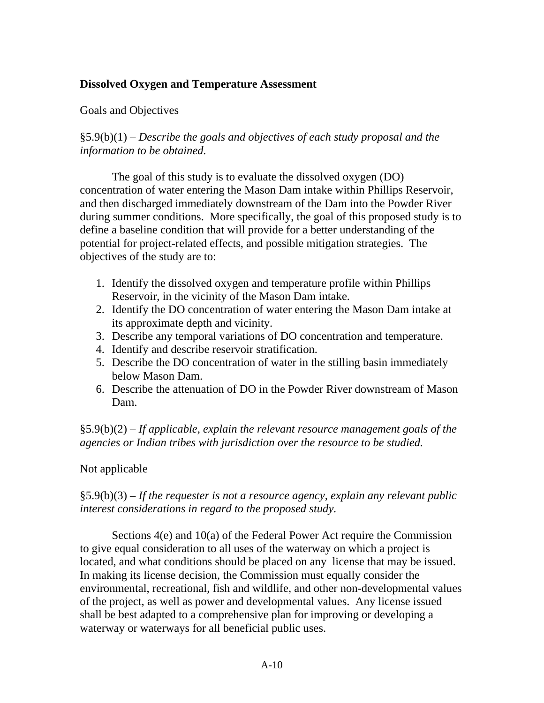# **Dissolved Oxygen and Temperature Assessment**

#### Goals and Objectives

§5.9(b)(1) – *Describe the goals and objectives of each study proposal and the information to be obtained.* 

 The goal of this study is to evaluate the dissolved oxygen (DO) concentration of water entering the Mason Dam intake within Phillips Reservoir, and then discharged immediately downstream of the Dam into the Powder River during summer conditions. More specifically, the goal of this proposed study is to define a baseline condition that will provide for a better understanding of the potential for project-related effects, and possible mitigation strategies. The objectives of the study are to:

- 1. Identify the dissolved oxygen and temperature profile within Phillips Reservoir, in the vicinity of the Mason Dam intake.
- 2. Identify the DO concentration of water entering the Mason Dam intake at its approximate depth and vicinity.
- 3. Describe any temporal variations of DO concentration and temperature.
- 4. Identify and describe reservoir stratification.
- 5. Describe the DO concentration of water in the stilling basin immediately below Mason Dam.
- 6. Describe the attenuation of DO in the Powder River downstream of Mason Dam.

§5.9(b)(2) – *If applicable, explain the relevant resource management goals of the agencies or Indian tribes with jurisdiction over the resource to be studied.* 

# Not applicable

# §5.9(b)(3) – *If the requester is not a resource agency, explain any relevant public interest considerations in regard to the proposed study.*

 Sections 4(e) and 10(a) of the Federal Power Act require the Commission to give equal consideration to all uses of the waterway on which a project is located, and what conditions should be placed on any license that may be issued. In making its license decision, the Commission must equally consider the environmental, recreational, fish and wildlife, and other non-developmental values of the project, as well as power and developmental values. Any license issued shall be best adapted to a comprehensive plan for improving or developing a waterway or waterways for all beneficial public uses.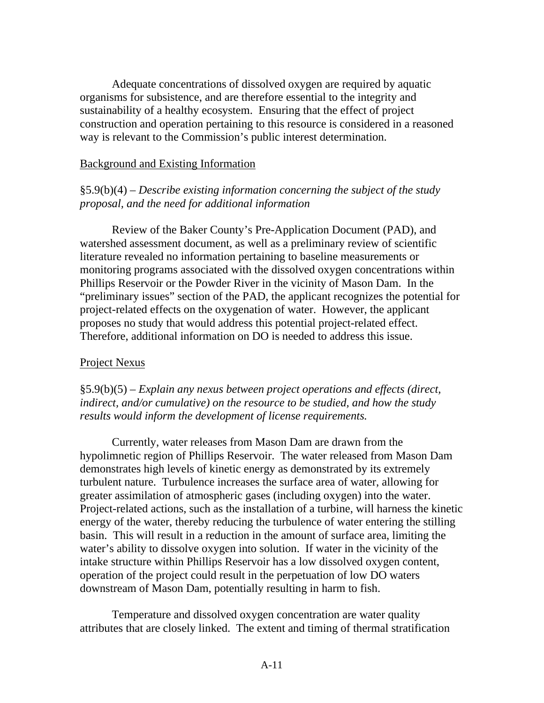Adequate concentrations of dissolved oxygen are required by aquatic organisms for subsistence, and are therefore essential to the integrity and sustainability of a healthy ecosystem. Ensuring that the effect of project construction and operation pertaining to this resource is considered in a reasoned way is relevant to the Commission's public interest determination.

#### Background and Existing Information

#### §5.9(b)(4) – *Describe existing information concerning the subject of the study proposal, and the need for additional information*

 Review of the Baker County's Pre-Application Document (PAD), and watershed assessment document, as well as a preliminary review of scientific literature revealed no information pertaining to baseline measurements or monitoring programs associated with the dissolved oxygen concentrations within Phillips Reservoir or the Powder River in the vicinity of Mason Dam. In the "preliminary issues" section of the PAD, the applicant recognizes the potential for project-related effects on the oxygenation of water. However, the applicant proposes no study that would address this potential project-related effect. Therefore, additional information on DO is needed to address this issue.

#### Project Nexus

§5.9(b)(5) – *Explain any nexus between project operations and effects (direct, indirect, and/or cumulative) on the resource to be studied, and how the study results would inform the development of license requirements.*

 Currently, water releases from Mason Dam are drawn from the hypolimnetic region of Phillips Reservoir. The water released from Mason Dam demonstrates high levels of kinetic energy as demonstrated by its extremely turbulent nature. Turbulence increases the surface area of water, allowing for greater assimilation of atmospheric gases (including oxygen) into the water. Project-related actions, such as the installation of a turbine, will harness the kinetic energy of the water, thereby reducing the turbulence of water entering the stilling basin. This will result in a reduction in the amount of surface area, limiting the water's ability to dissolve oxygen into solution. If water in the vicinity of the intake structure within Phillips Reservoir has a low dissolved oxygen content, operation of the project could result in the perpetuation of low DO waters downstream of Mason Dam, potentially resulting in harm to fish.

 Temperature and dissolved oxygen concentration are water quality attributes that are closely linked. The extent and timing of thermal stratification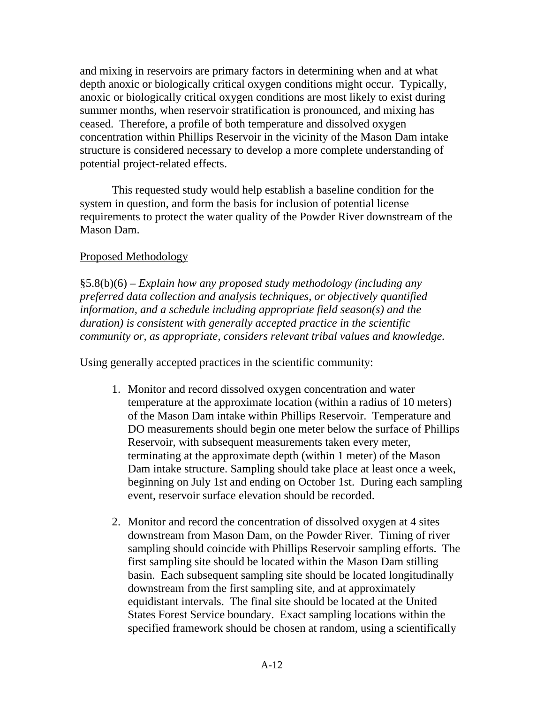and mixing in reservoirs are primary factors in determining when and at what depth anoxic or biologically critical oxygen conditions might occur. Typically, anoxic or biologically critical oxygen conditions are most likely to exist during summer months, when reservoir stratification is pronounced, and mixing has ceased. Therefore, a profile of both temperature and dissolved oxygen concentration within Phillips Reservoir in the vicinity of the Mason Dam intake structure is considered necessary to develop a more complete understanding of potential project-related effects.

 This requested study would help establish a baseline condition for the system in question, and form the basis for inclusion of potential license requirements to protect the water quality of the Powder River downstream of the Mason Dam.

# Proposed Methodology

§5.8(b)(6) – *Explain how any proposed study methodology (including any preferred data collection and analysis techniques, or objectively quantified information, and a schedule including appropriate field season(s) and the duration) is consistent with generally accepted practice in the scientific community or, as appropriate, considers relevant tribal values and knowledge.* 

Using generally accepted practices in the scientific community:

- 1. Monitor and record dissolved oxygen concentration and water temperature at the approximate location (within a radius of 10 meters) of the Mason Dam intake within Phillips Reservoir. Temperature and DO measurements should begin one meter below the surface of Phillips Reservoir, with subsequent measurements taken every meter, terminating at the approximate depth (within 1 meter) of the Mason Dam intake structure. Sampling should take place at least once a week, beginning on July 1st and ending on October 1st. During each sampling event, reservoir surface elevation should be recorded.
- 2. Monitor and record the concentration of dissolved oxygen at 4 sites downstream from Mason Dam, on the Powder River. Timing of river sampling should coincide with Phillips Reservoir sampling efforts. The first sampling site should be located within the Mason Dam stilling basin. Each subsequent sampling site should be located longitudinally downstream from the first sampling site, and at approximately equidistant intervals. The final site should be located at the United States Forest Service boundary. Exact sampling locations within the specified framework should be chosen at random, using a scientifically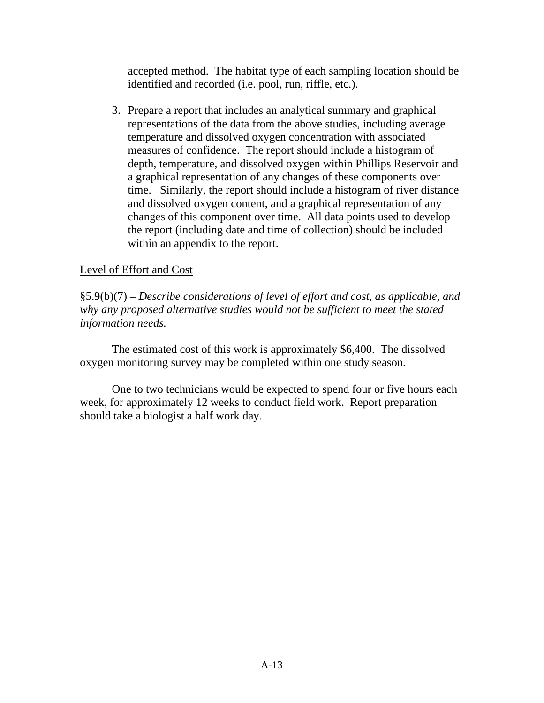accepted method. The habitat type of each sampling location should be identified and recorded (i.e. pool, run, riffle, etc.).

3. Prepare a report that includes an analytical summary and graphical representations of the data from the above studies, including average temperature and dissolved oxygen concentration with associated measures of confidence. The report should include a histogram of depth, temperature, and dissolved oxygen within Phillips Reservoir and a graphical representation of any changes of these components over time. Similarly, the report should include a histogram of river distance and dissolved oxygen content, and a graphical representation of any changes of this component over time. All data points used to develop the report (including date and time of collection) should be included within an appendix to the report.

# Level of Effort and Cost

§5.9(b)(7) – *Describe considerations of level of effort and cost, as applicable, and why any proposed alternative studies would not be sufficient to meet the stated information needs.*

 The estimated cost of this work is approximately \$6,400. The dissolved oxygen monitoring survey may be completed within one study season.

 One to two technicians would be expected to spend four or five hours each week, for approximately 12 weeks to conduct field work. Report preparation should take a biologist a half work day.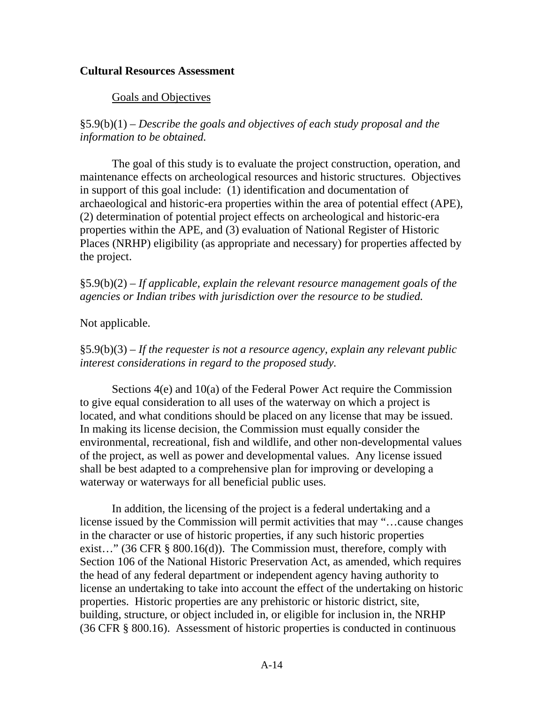#### **Cultural Resources Assessment**

#### Goals and Objectives

§5.9(b)(1) – *Describe the goals and objectives of each study proposal and the information to be obtained.* 

 The goal of this study is to evaluate the project construction, operation, and maintenance effects on archeological resources and historic structures. Objectives in support of this goal include: (1) identification and documentation of archaeological and historic-era properties within the area of potential effect (APE), (2) determination of potential project effects on archeological and historic-era properties within the APE, and (3) evaluation of National Register of Historic Places (NRHP) eligibility (as appropriate and necessary) for properties affected by the project.

§5.9(b)(2) – *If applicable, explain the relevant resource management goals of the agencies or Indian tribes with jurisdiction over the resource to be studied.* 

Not applicable.

§5.9(b)(3) – *If the requester is not a resource agency, explain any relevant public interest considerations in regard to the proposed study.*

 Sections 4(e) and 10(a) of the Federal Power Act require the Commission to give equal consideration to all uses of the waterway on which a project is located, and what conditions should be placed on any license that may be issued. In making its license decision, the Commission must equally consider the environmental, recreational, fish and wildlife, and other non-developmental values of the project, as well as power and developmental values. Any license issued shall be best adapted to a comprehensive plan for improving or developing a waterway or waterways for all beneficial public uses.

 In addition, the licensing of the project is a federal undertaking and a license issued by the Commission will permit activities that may "…cause changes in the character or use of historic properties, if any such historic properties exist…" (36 CFR § 800.16(d)). The Commission must, therefore, comply with Section 106 of the National Historic Preservation Act, as amended, which requires the head of any federal department or independent agency having authority to license an undertaking to take into account the effect of the undertaking on historic properties. Historic properties are any prehistoric or historic district, site, building, structure, or object included in, or eligible for inclusion in, the NRHP (36 CFR § 800.16). Assessment of historic properties is conducted in continuous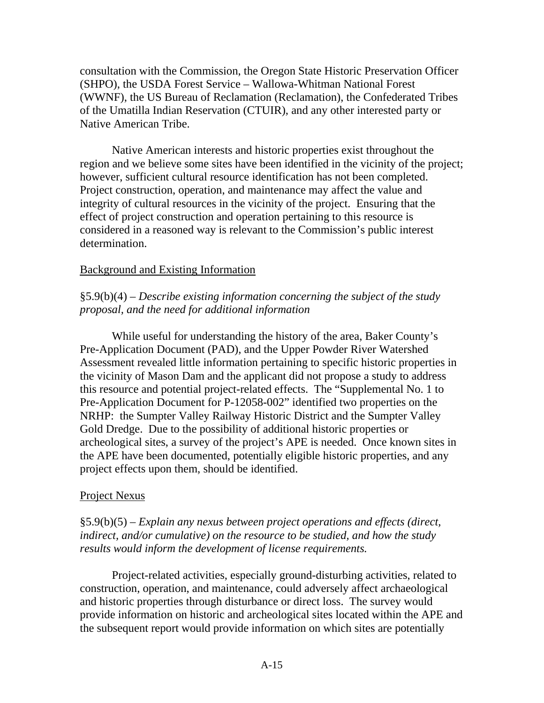consultation with the Commission, the Oregon State Historic Preservation Officer (SHPO), the USDA Forest Service – Wallowa-Whitman National Forest (WWNF), the US Bureau of Reclamation (Reclamation), the Confederated Tribes of the Umatilla Indian Reservation (CTUIR), and any other interested party or Native American Tribe.

 Native American interests and historic properties exist throughout the region and we believe some sites have been identified in the vicinity of the project; however, sufficient cultural resource identification has not been completed. Project construction, operation, and maintenance may affect the value and integrity of cultural resources in the vicinity of the project. Ensuring that the effect of project construction and operation pertaining to this resource is considered in a reasoned way is relevant to the Commission's public interest determination.

#### Background and Existing Information

# §5.9(b)(4) – *Describe existing information concerning the subject of the study proposal, and the need for additional information*

 While useful for understanding the history of the area, Baker County's Pre-Application Document (PAD), and the Upper Powder River Watershed Assessment revealed little information pertaining to specific historic properties in the vicinity of Mason Dam and the applicant did not propose a study to address this resource and potential project-related effects. The "Supplemental No. 1 to Pre-Application Document for P-12058-002" identified two properties on the NRHP: the Sumpter Valley Railway Historic District and the Sumpter Valley Gold Dredge. Due to the possibility of additional historic properties or archeological sites, a survey of the project's APE is needed. Once known sites in the APE have been documented, potentially eligible historic properties, and any project effects upon them, should be identified.

# Project Nexus

§5.9(b)(5) – *Explain any nexus between project operations and effects (direct, indirect, and/or cumulative) on the resource to be studied, and how the study results would inform the development of license requirements.*

 Project-related activities, especially ground-disturbing activities, related to construction, operation, and maintenance, could adversely affect archaeological and historic properties through disturbance or direct loss. The survey would provide information on historic and archeological sites located within the APE and the subsequent report would provide information on which sites are potentially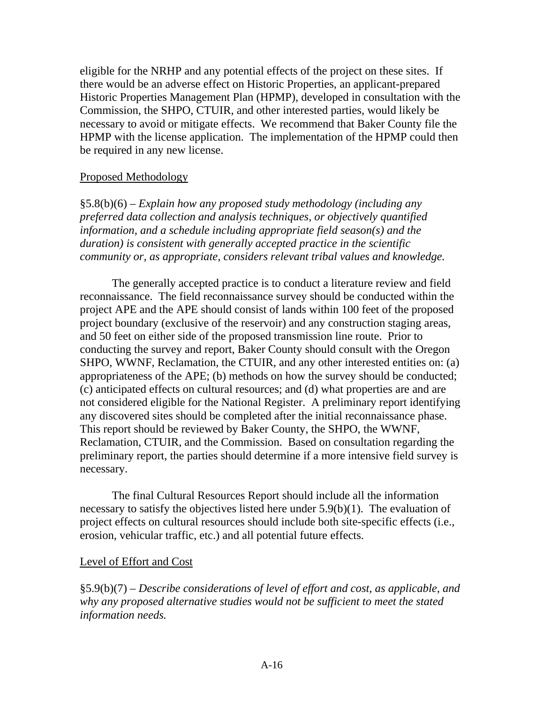eligible for the NRHP and any potential effects of the project on these sites. If there would be an adverse effect on Historic Properties, an applicant-prepared Historic Properties Management Plan (HPMP), developed in consultation with the Commission, the SHPO, CTUIR, and other interested parties, would likely be necessary to avoid or mitigate effects. We recommend that Baker County file the HPMP with the license application. The implementation of the HPMP could then be required in any new license.

#### Proposed Methodology

§5.8(b)(6) – *Explain how any proposed study methodology (including any preferred data collection and analysis techniques, or objectively quantified information, and a schedule including appropriate field season(s) and the duration) is consistent with generally accepted practice in the scientific community or, as appropriate, considers relevant tribal values and knowledge.* 

 The generally accepted practice is to conduct a literature review and field reconnaissance. The field reconnaissance survey should be conducted within the project APE and the APE should consist of lands within 100 feet of the proposed project boundary (exclusive of the reservoir) and any construction staging areas, and 50 feet on either side of the proposed transmission line route. Prior to conducting the survey and report, Baker County should consult with the Oregon SHPO, WWNF, Reclamation, the CTUIR, and any other interested entities on: (a) appropriateness of the APE; (b) methods on how the survey should be conducted; (c) anticipated effects on cultural resources; and (d) what properties are and are not considered eligible for the National Register. A preliminary report identifying any discovered sites should be completed after the initial reconnaissance phase. This report should be reviewed by Baker County, the SHPO, the WWNF, Reclamation, CTUIR, and the Commission. Based on consultation regarding the preliminary report, the parties should determine if a more intensive field survey is necessary.

 The final Cultural Resources Report should include all the information necessary to satisfy the objectives listed here under 5.9(b)(1). The evaluation of project effects on cultural resources should include both site-specific effects (i.e., erosion, vehicular traffic, etc.) and all potential future effects.

#### Level of Effort and Cost

§5.9(b)(7) – *Describe considerations of level of effort and cost, as applicable, and why any proposed alternative studies would not be sufficient to meet the stated information needs.*